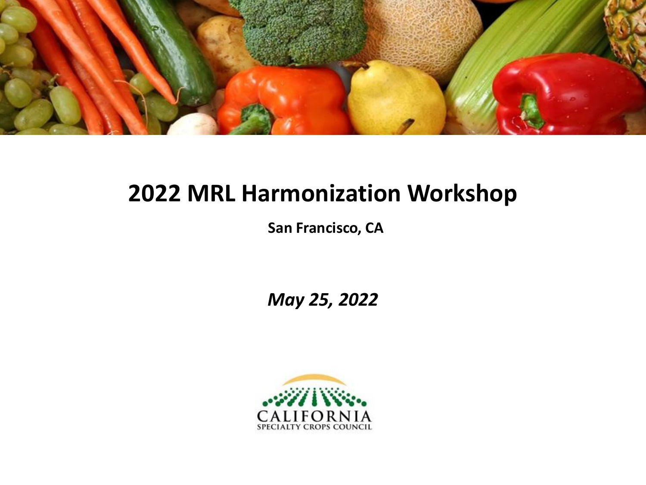

## **2022 MRL Harmonization Workshop**

**San Francisco, CA**

*May 25, 2022*

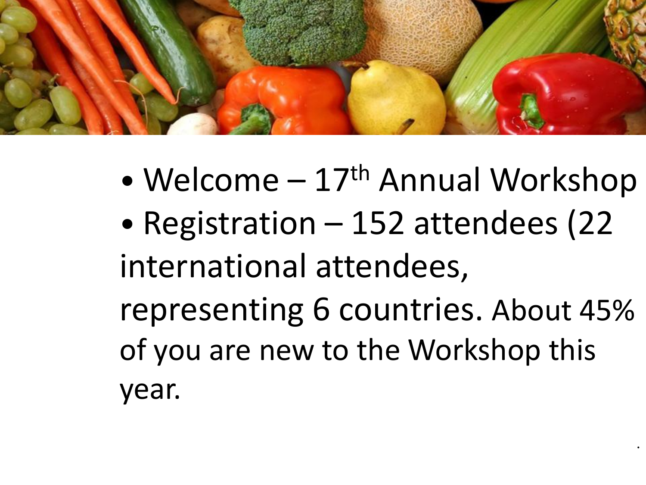

- Welcome  $-17$ <sup>th</sup> Annual Workshop
- Registration 152 attendees (22) international attendees, representing 6 countries. About 45% of you are new to the Workshop this year.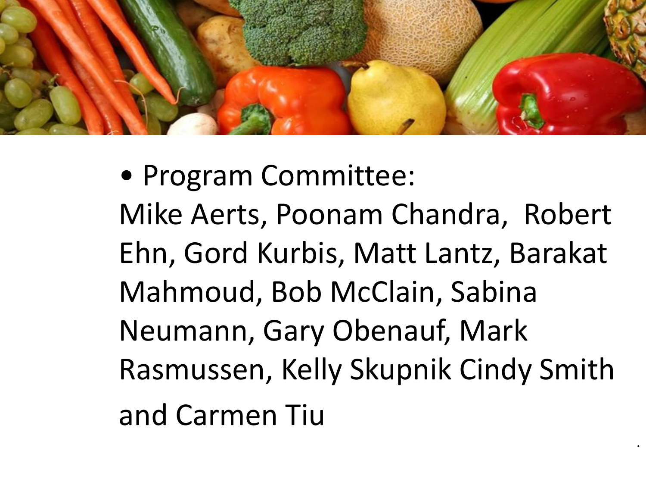

• Program Committee: Mike Aerts, Poonam Chandra, Robert Ehn, Gord Kurbis, Matt Lantz, Barakat Mahmoud, Bob McClain, Sabina Neumann, Gary Obenauf, Mark Rasmussen, Kelly Skupnik Cindy Smith and Carmen Tiu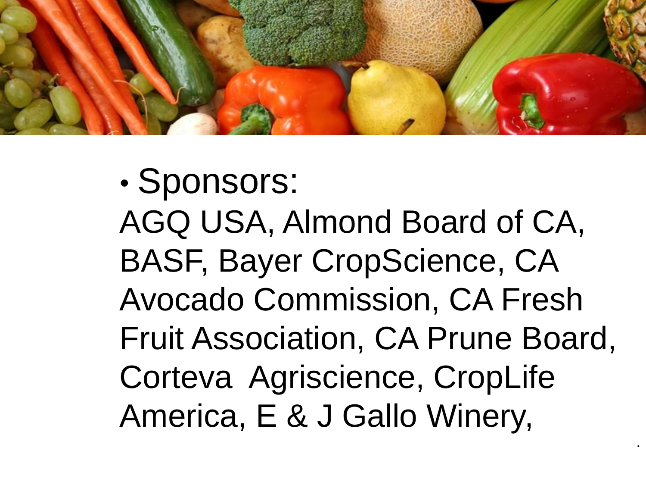

• Sponsors: AGQ USA, Almond Board of CA, BASF, Bayer CropScience, CA Avocado Commission, CA Fresh Fruit Association, CA Prune Board, Corteva Agriscience, CropLife America, E & J Gallo Winery,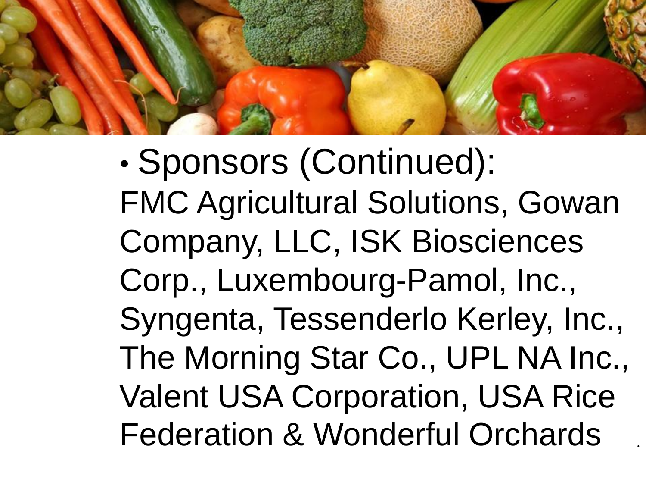

• Sponsors (Continued): FMC Agricultural Solutions, Gowan Company, LLC, ISK Biosciences Corp., Luxembourg-Pamol, Inc., Syngenta, Tessenderlo Kerley, Inc., The Morning Star Co., UPL NA Inc., Valent USA Corporation, USA Rice Federation & Wonderful Orchards •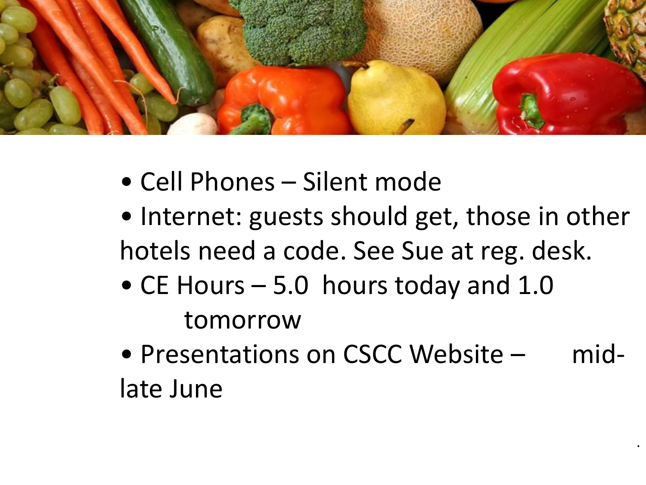

- Cell Phones Silent mode
- Internet: guests should get, those in other hotels need a code. See Sue at reg. desk.
- CE Hours 5.0 hours today and 1.0 tomorrow
- Presentations on CSCC Website midlate June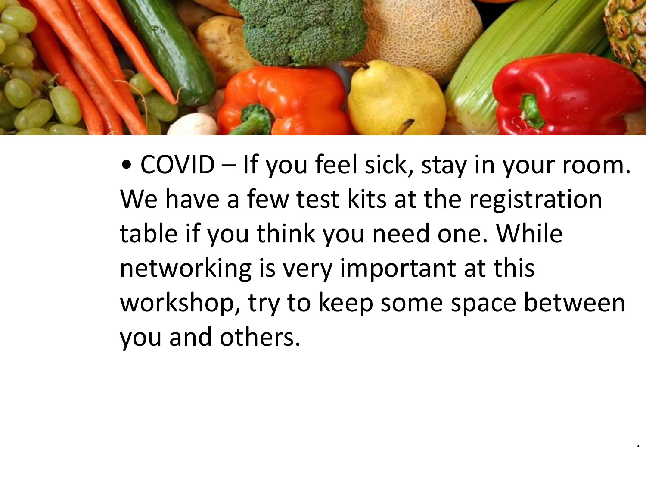

• COVID – If you feel sick, stay in your room. We have a few test kits at the registration table if you think you need one. While networking is very important at this workshop, try to keep some space between you and others.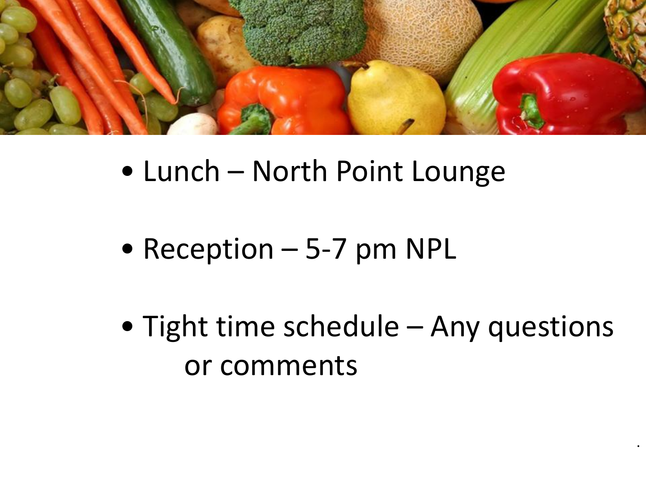

- Lunch North Point Lounge
- Reception 5-7 pm NPL
- Tight time schedule Any questions or comments